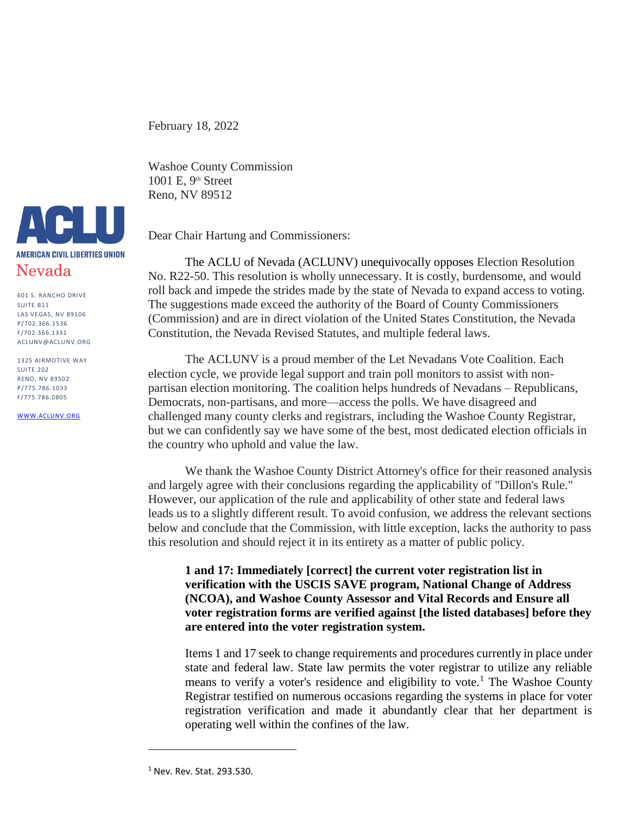February 18, 2022

Washoe County Commission 1001 E, 9th Street Reno, NV 89512

Dear Chair Hartung and Commissioners:

The ACLU of Nevada (ACLUNV) unequivocally opposes Election Resolution No. R22-50. This resolution is wholly unnecessary. It is costly, burdensome, and would roll back and impede the strides made by the state of Nevada to expand access to voting. The suggestions made exceed the authority of the Board of County Commissioners (Commission) and are in direct violation of the United States Constitution, the Nevada Constitution, the Nevada Revised Statutes, and multiple federal laws.

The ACLUNV is a proud member of the Let Nevadans Vote Coalition. Each election cycle, we provide legal support and train poll monitors to assist with nonpartisan election monitoring. The coalition helps hundreds of Nevadans – Republicans, Democrats, non-partisans, and more—access the polls. We have disagreed and challenged many county clerks and registrars, including the Washoe County Registrar, but we can confidently say we have some of the best, most dedicated election officials in the country who uphold and value the law.

We thank the Washoe County District Attorney's office for their reasoned analysis and largely agree with their conclusions regarding the applicability of "Dillon's Rule." However, our application of the rule and applicability of other state and federal laws leads us to a slightly different result. To avoid confusion, we address the relevant sections below and conclude that the Commission, with little exception, lacks the authority to pass this resolution and should reject it in its entirety as a matter of public policy.

**1 and 17: Immediately [correct] the current voter registration list in verification with the USCIS SAVE program, National Change of Address (NCOA), and Washoe County Assessor and Vital Records and Ensure all voter registration forms are verified against [the listed databases] before they are entered into the voter registration system.** 

Items 1 and 17 seek to change requirements and procedures currently in place under state and federal law. State law permits the voter registrar to utilize any reliable means to verify a voter's residence and eligibility to vote.<sup>1</sup> The Washoe County Registrar testified on numerous occasions regarding the systems in place for voter registration verification and made it abundantly clear that her department is operating well within the confines of the law.



601 S. RANCHO DRIVE SUITE B11 LAS VEGAS, NV 89106 P/702.366.1536 F/702.366.1331 ACLUNV@ACLUNV.ORG

1325 AIRMOTIVE WAY SUITE 202 RENO, NV 89502 P/775.786.1033 F/775.786.0805

[WWW.ACLUNV.ORG](http://www.aclunv.org/)

<sup>1</sup> Nev. Rev. Stat. 293.530.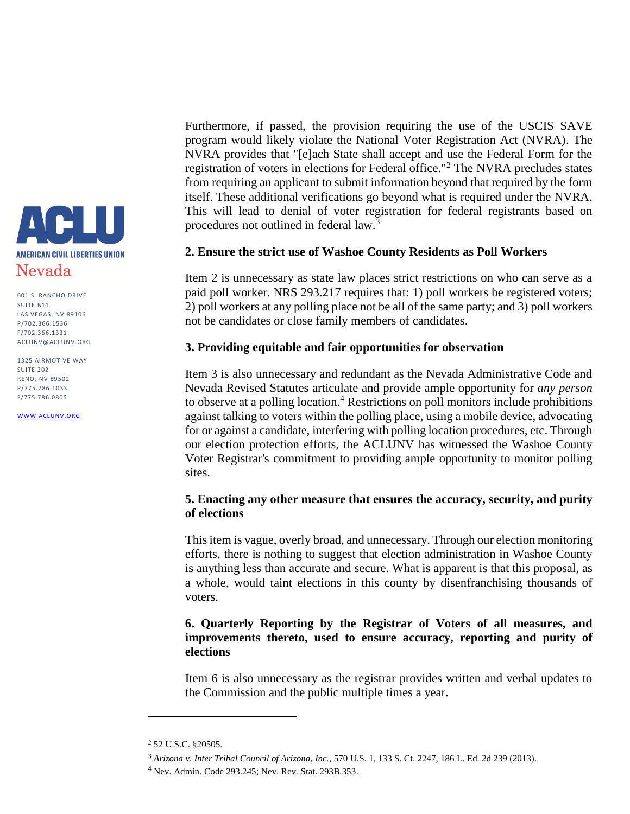

1325 AIRMOTIVE WAY SUITE 202 RENO, NV 89502 P/775.786.1033 F/775.786.0805

[WWW.ACLUNV.ORG](http://www.aclunv.org/)

Furthermore, if passed, the provision requiring the use of the USCIS SAVE program would likely violate the National Voter Registration Act (NVRA). The NVRA provides that "[e]ach State shall accept and use the Federal Form for the registration of voters in elections for Federal office."<sup>2</sup> The NVRA precludes states from requiring an applicant to submit information beyond that required by the form itself. These additional verifications go beyond what is required under the NVRA. This will lead to denial of voter registration for federal registrants based on procedures not outlined in federal law.<sup>3</sup>

### **2. Ensure the strict use of Washoe County Residents as Poll Workers**

Item 2 is unnecessary as state law places strict restrictions on who can serve as a paid poll worker. NRS 293.217 requires that: 1) poll workers be registered voters; 2) poll workers at any polling place not be all of the same party; and 3) poll workers not be candidates or close family members of candidates.

### **3. Providing equitable and fair opportunities for observation**

Item 3 is also unnecessary and redundant as the Nevada Administrative Code and Nevada Revised Statutes articulate and provide ample opportunity for *any person* to observe at a polling location.<sup>4</sup> Restrictions on poll monitors include prohibitions against talking to voters within the polling place, using a mobile device, advocating for or against a candidate, interfering with polling location procedures, etc. Through our election protection efforts, the ACLUNV has witnessed the Washoe County Voter Registrar's commitment to providing ample opportunity to monitor polling sites.

## **5. Enacting any other measure that ensures the accuracy, security, and purity of elections**

This item is vague, overly broad, and unnecessary. Through our election monitoring efforts, there is nothing to suggest that election administration in Washoe County is anything less than accurate and secure. What is apparent is that this proposal, as a whole, would taint elections in this county by disenfranchising thousands of voters.

# **6. Quarterly Reporting by the Registrar of Voters of all measures, and improvements thereto, used to ensure accuracy, reporting and purity of elections**

Item 6 is also unnecessary as the registrar provides written and verbal updates to the Commission and the public multiple times a year.

<sup>2</sup> 52 U.S.C. §20505.

<sup>3</sup> *Arizona v. Inter Tribal Council of Arizona, Inc.*, 570 U.S. 1, 133 S. Ct. 2247, 186 L. Ed. 2d 239 (2013)*.*

<sup>4</sup> Nev. Admin. Code 293.245; Nev. Rev. Stat. 293B.353.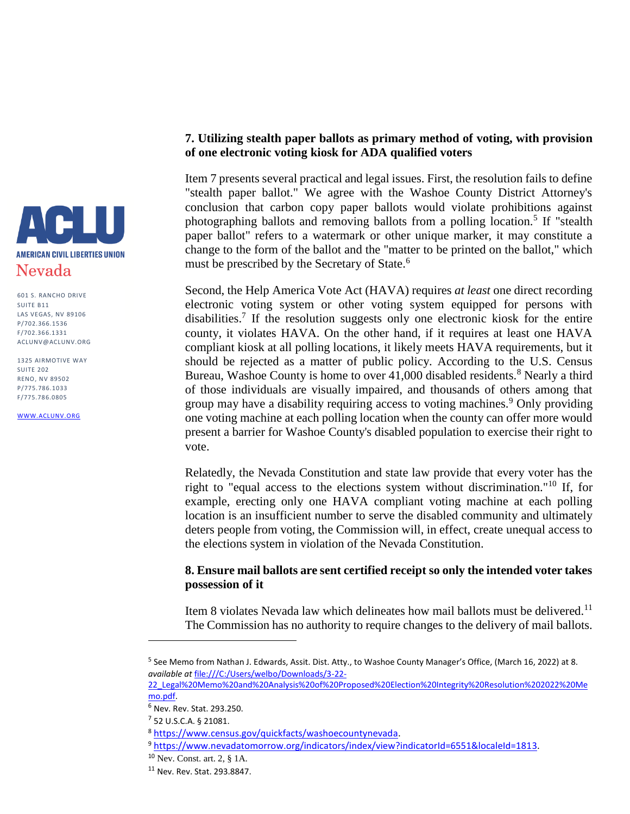

1325 AIRMOTIVE WAY SUITE 202 RENO, NV 89502 P/775.786.1033 F/775.786.0805

[WWW.ACLUNV.ORG](http://www.aclunv.org/)

### **7. Utilizing stealth paper ballots as primary method of voting, with provision of one electronic voting kiosk for ADA qualified voters**

Item 7 presents several practical and legal issues. First, the resolution fails to define "stealth paper ballot." We agree with the Washoe County District Attorney's conclusion that carbon copy paper ballots would violate prohibitions against photographing ballots and removing ballots from a polling location.<sup>5</sup> If "stealth paper ballot" refers to a watermark or other unique marker, it may constitute a change to the form of the ballot and the "matter to be printed on the ballot," which must be prescribed by the Secretary of State.<sup>6</sup>

Second, the Help America Vote Act (HAVA) requires *at least* one direct recording electronic voting system or other voting system equipped for persons with disabilities.<sup>7</sup> If the resolution suggests only one electronic kiosk for the entire county, it violates HAVA. On the other hand, if it requires at least one HAVA compliant kiosk at all polling locations, it likely meets HAVA requirements, but it should be rejected as a matter of public policy. According to the U.S. Census Bureau, Washoe County is home to over 41,000 disabled residents.<sup>8</sup> Nearly a third of those individuals are visually impaired, and thousands of others among that group may have a disability requiring access to voting machines.<sup>9</sup> Only providing one voting machine at each polling location when the county can offer more would present a barrier for Washoe County's disabled population to exercise their right to vote.

Relatedly, the Nevada Constitution and state law provide that every voter has the right to "equal access to the elections system without discrimination."<sup>10</sup> If, for example, erecting only one HAVA compliant voting machine at each polling location is an insufficient number to serve the disabled community and ultimately deters people from voting, the Commission will, in effect, create unequal access to the elections system in violation of the Nevada Constitution.

### **8. Ensure mail ballots are sent certified receipt so only the intended voter takes possession of it**

Item 8 violates Nevada law which delineates how mail ballots must be delivered.<sup>11</sup> The Commission has no authority to require changes to the delivery of mail ballots.

<sup>&</sup>lt;sup>5</sup> See Memo from Nathan J. Edwards, Assit. Dist. Atty., to Washoe County Manager's Office, (March 16, 2022) at 8. *available at* [file:///C:/Users/welbo/Downloads/3-22-](file:///C:/Users/welbo/Downloads/3-22-22_Legal%20Memo%20and%20Analysis%20of%20Proposed%20Election%20Integrity%20Resolution%202022%20Memo.pdf)

[<sup>22</sup>\\_Legal%20Memo%20and%20Analysis%20of%20Proposed%20Election%20Integrity%20Resolution%202022%20Me](file:///C:/Users/welbo/Downloads/3-22-22_Legal%20Memo%20and%20Analysis%20of%20Proposed%20Election%20Integrity%20Resolution%202022%20Memo.pdf) [mo.pdf.](file:///C:/Users/welbo/Downloads/3-22-22_Legal%20Memo%20and%20Analysis%20of%20Proposed%20Election%20Integrity%20Resolution%202022%20Memo.pdf)

<sup>6</sup> Nev. Rev. Stat. 293.250.

<sup>7</sup> 52 U.S.C.A. § 21081.

<sup>8</sup> [https://www.census.gov/quickfacts/washoecountynevada.](https://www.census.gov/quickfacts/washoecountynevada)

<sup>9</sup> [https://www.nevadatomorrow.org/indicators/index/view?indicatorId=6551&localeId=1813.](https://www.nevadatomorrow.org/indicators/index/view?indicatorId=6551&localeId=1813)

<sup>10</sup> Nev. Const. art. 2, § 1A.

<sup>11</sup> Nev. Rev. Stat. 293.8847.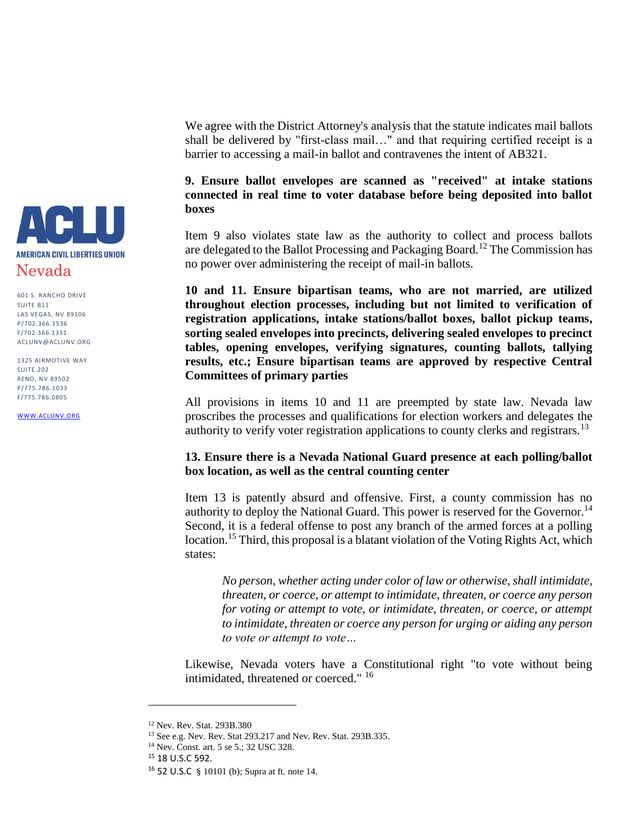

1325 AIRMOTIVE WAY SUITE 202 RENO, NV 89502 P/775.786.1033 F/775.786.0805

[WWW.ACLUNV.ORG](http://www.aclunv.org/)

We agree with the District Attorney's analysis that the statute indicates mail ballots shall be delivered by "first-class mail…" and that requiring certified receipt is a barrier to accessing a mail-in ballot and contravenes the intent of AB321.

## **9. Ensure ballot envelopes are scanned as "received" at intake stations connected in real time to voter database before being deposited into ballot boxes**

Item 9 also violates state law as the authority to collect and process ballots are delegated to the Ballot Processing and Packaging Board.<sup>12</sup> The Commission has no power over administering the receipt of mail-in ballots.

**10 and 11. Ensure bipartisan teams, who are not married, are utilized throughout election processes, including but not limited to verification of registration applications, intake stations/ballot boxes, ballot pickup teams, sorting sealed envelopes into precincts, delivering sealed envelopes to precinct tables, opening envelopes, verifying signatures, counting ballots, tallying results, etc.; Ensure bipartisan teams are approved by respective Central Committees of primary parties**

All provisions in items 10 and 11 are preempted by state law. Nevada law proscribes the processes and qualifications for election workers and delegates the authority to verify voter registration applications to county clerks and registrars.<sup>13</sup>

### **13. Ensure there is a Nevada National Guard presence at each polling/ballot box location, as well as the central counting center**

Item 13 is patently absurd and offensive. First, a county commission has no authority to deploy the National Guard. This power is reserved for the Governor.<sup>14</sup> Second, it is a federal offense to post any branch of the armed forces at a polling location.<sup>15</sup> Third, this proposal is a blatant violation of the Voting Rights Act, which states:

*No person, whether acting under color of law or otherwise, shall intimidate, threaten, or coerce, or attempt to intimidate, threaten, or coerce any person for voting or attempt to vote, or intimidate, threaten, or coerce, or attempt to intimidate, threaten or coerce any person for urging or aiding any person to vote or attempt to vote…*

Likewise, Nevada voters have a Constitutional right "to vote without being intimidated, threatened or coerced." <sup>16</sup>

<sup>12</sup> Nev. Rev. Stat. 293B.380

<sup>13</sup> See e.g. Nev. Rev. Stat 293.217 and Nev. Rev. Stat. 293B.335.

<sup>14</sup> Nev. Const. art. 5 se 5.; 32 USC 328.

<sup>15</sup> 18 U.S.C 592.

<sup>16</sup> 52 U.S.C § 10101 (b); Supra at ft. note 14.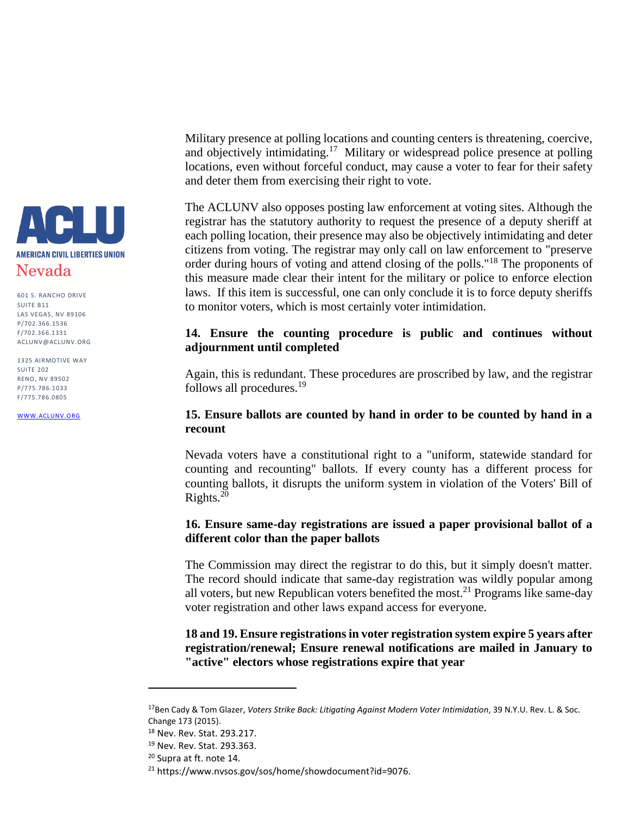

1325 AIRMOTIVE WAY SUITE 202 RENO, NV 89502 P/775.786.1033 F/775.786.0805

[WWW.ACLUNV.ORG](http://www.aclunv.org/)

Military presence at polling locations and counting centers is threatening, coercive, and objectively intimidating.<sup>17</sup> Military or widespread police presence at polling locations, even without forceful conduct, may cause a voter to fear for their safety and deter them from exercising their right to vote.

The ACLUNV also opposes posting law enforcement at voting sites. Although the registrar has the statutory authority to request the presence of a deputy sheriff at each polling location, their presence may also be objectively intimidating and deter citizens from voting. The registrar may only call on law enforcement to "preserve order during hours of voting and attend closing of the polls."<sup>18</sup> The proponents of this measure made clear their intent for the military or police to enforce election laws. If this item is successful, one can only conclude it is to force deputy sheriffs to monitor voters, which is most certainly voter intimidation.

# **14. Ensure the counting procedure is public and continues without adjournment until completed**

Again, this is redundant. These procedures are proscribed by law, and the registrar follows all procedures.<sup>19</sup>

### **15. Ensure ballots are counted by hand in order to be counted by hand in a recount**

Nevada voters have a constitutional right to a "uniform, statewide standard for counting and recounting" ballots. If every county has a different process for counting ballots, it disrupts the uniform system in violation of the Voters' Bill of Rights.<sup>20</sup>

## **16. Ensure same-day registrations are issued a paper provisional ballot of a different color than the paper ballots**

The Commission may direct the registrar to do this, but it simply doesn't matter. The record should indicate that same-day registration was wildly popular among all voters, but new Republican voters benefited the most.<sup>21</sup> Programs like same-day voter registration and other laws expand access for everyone.

**18 and 19. Ensure registrations in voter registration system expire 5 years after registration/renewal; Ensure renewal notifications are mailed in January to "active" electors whose registrations expire that year**

l

<sup>17</sup>Ben Cady & Tom Glazer, *Voters Strike Back: Litigating Against Modern Voter Intimidation*, 39 N.Y.U. Rev. L. & Soc. Change 173 (2015).

<sup>18</sup> Nev. Rev. Stat. 293.217.

<sup>19</sup> Nev. Rev. Stat. 293.363.

<sup>&</sup>lt;sup>20</sup> Supra at ft. note 14.

<sup>21</sup> https://www.nvsos.gov/sos/home/showdocument?id=9076.